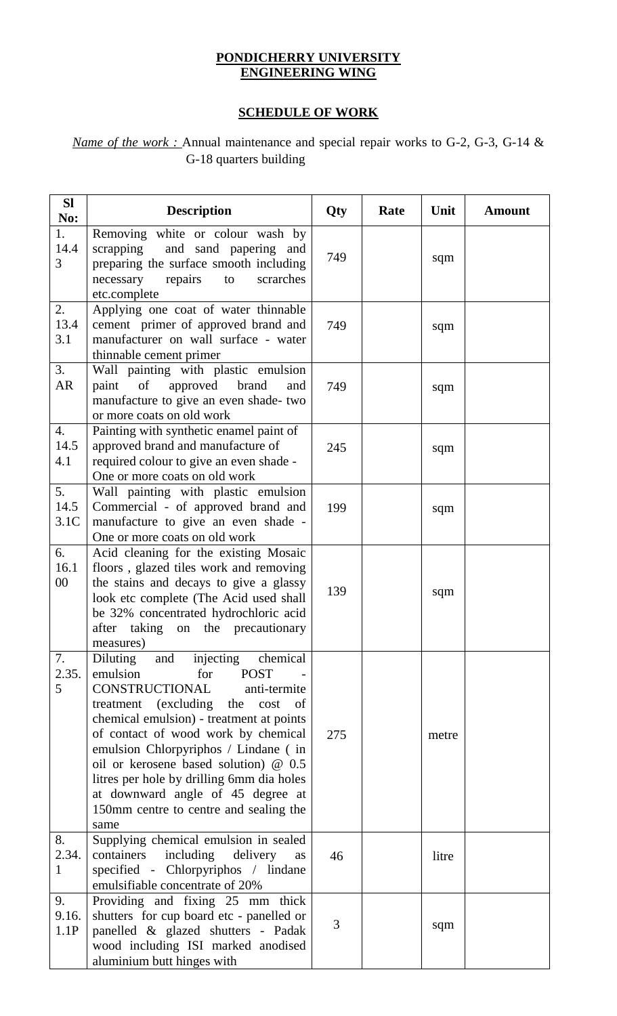## **PONDICHERRY UNIVERSITY ENGINEERING WING**

## **SCHEDULE OF WORK**

## *Name of the work :* Annual maintenance and special repair works to G-2, G-3, G-14 & G-18 quarters building

| <b>Sl</b><br>No:                | <b>Description</b>                                                                                                                                                                                                                                                                                                                                                                                                                                                 | Qty | Rate | Unit  | <b>Amount</b> |
|---------------------------------|--------------------------------------------------------------------------------------------------------------------------------------------------------------------------------------------------------------------------------------------------------------------------------------------------------------------------------------------------------------------------------------------------------------------------------------------------------------------|-----|------|-------|---------------|
| 1.<br>14.4<br>3                 | Removing white or colour wash by<br>and sand papering and<br>scrapping<br>preparing the surface smooth including<br>necessary<br>repairs<br>scrarches<br>to<br>etc.complete                                                                                                                                                                                                                                                                                        | 749 |      | sqm   |               |
| 2.<br>13.4<br>3.1               | Applying one coat of water thinnable<br>cement primer of approved brand and<br>manufacturer on wall surface - water<br>thinnable cement primer                                                                                                                                                                                                                                                                                                                     | 749 |      | sqm   |               |
| 3.<br><b>AR</b>                 | Wall painting with plastic emulsion<br>of<br>paint<br>approved brand<br>and<br>manufacture to give an even shade- two<br>or more coats on old work                                                                                                                                                                                                                                                                                                                 | 749 |      | sqm   |               |
| $\overline{4}$ .<br>14.5<br>4.1 | Painting with synthetic enamel paint of<br>approved brand and manufacture of<br>required colour to give an even shade -<br>One or more coats on old work                                                                                                                                                                                                                                                                                                           | 245 |      | sqm   |               |
| 5.<br>14.5<br>3.1C              | Wall painting with plastic emulsion<br>Commercial - of approved brand and<br>manufacture to give an even shade -<br>One or more coats on old work                                                                                                                                                                                                                                                                                                                  | 199 |      | sqm   |               |
| 6.<br>16.1<br>00                | Acid cleaning for the existing Mosaic<br>floors, glazed tiles work and removing<br>the stains and decays to give a glassy<br>look etc complete (The Acid used shall<br>be 32% concentrated hydrochloric acid<br>after taking on the precautionary<br>measures)                                                                                                                                                                                                     | 139 |      | sqm   |               |
| 7.<br>2.35.<br>5                | Diluting<br>injecting<br>chemical<br>and<br>emulsion<br>for<br><b>POST</b><br>CONSTRUCTIONAL<br>anti-termite<br>treatment (excluding)<br>the<br>cost<br>of<br>chemical emulsion) - treatment at points<br>of contact of wood work by chemical<br>emulsion Chlorpyriphos / Lindane (in<br>oil or kerosene based solution) @ 0.5<br>litres per hole by drilling 6mm dia holes<br>at downward angle of 45 degree at<br>150mm centre to centre and sealing the<br>same | 275 |      | metre |               |
| 8.<br>2.34.<br>$\mathbf{1}$     | Supplying chemical emulsion in sealed<br>including<br>containers<br>delivery<br>as<br>specified - Chlorpyriphos / lindane<br>emulsifiable concentrate of 20%                                                                                                                                                                                                                                                                                                       | 46  |      | litre |               |
| 9.<br>9.16.<br>1.1P             | Providing and fixing 25 mm thick<br>shutters for cup board etc - panelled or<br>panelled & glazed shutters - Padak<br>wood including ISI marked anodised<br>aluminium butt hinges with                                                                                                                                                                                                                                                                             | 3   |      | sqm   |               |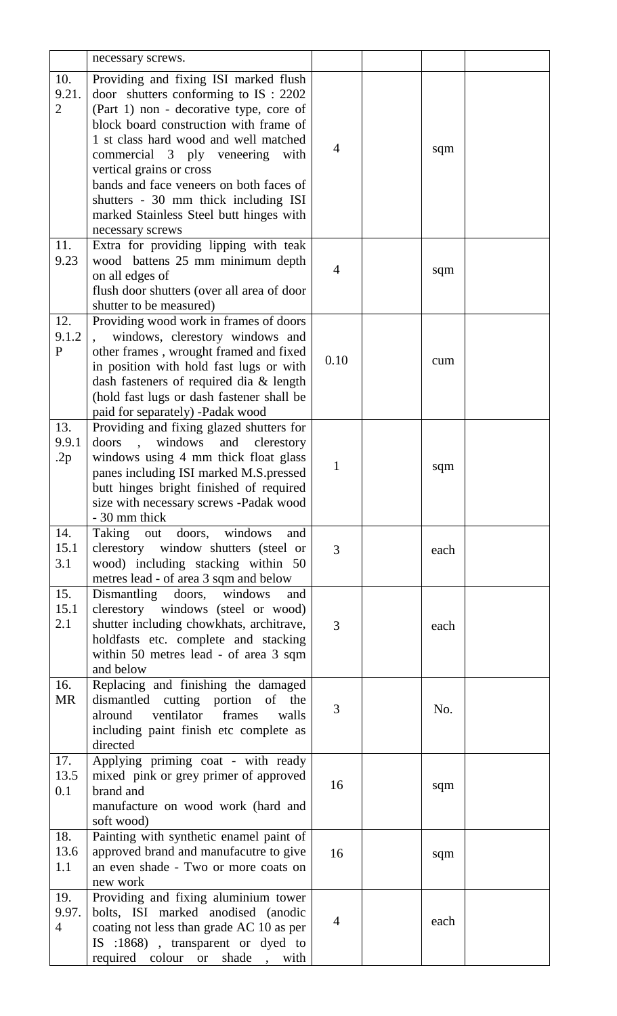|                  | necessary screws.                                                                    |                |      |  |
|------------------|--------------------------------------------------------------------------------------|----------------|------|--|
| 10.              | Providing and fixing ISI marked flush                                                |                |      |  |
| 9.21.            | door shutters conforming to $IS: 2202$                                               |                |      |  |
| $\overline{2}$   | (Part 1) non - decorative type, core of                                              |                |      |  |
|                  | block board construction with frame of                                               |                |      |  |
|                  | 1 st class hard wood and well matched                                                |                |      |  |
|                  | commercial 3 ply veneering<br>with                                                   | 4              | sqm  |  |
|                  | vertical grains or cross                                                             |                |      |  |
|                  | bands and face veneers on both faces of                                              |                |      |  |
|                  | shutters - 30 mm thick including ISI                                                 |                |      |  |
|                  | marked Stainless Steel butt hinges with                                              |                |      |  |
|                  | necessary screws                                                                     |                |      |  |
| 11.              | Extra for providing lipping with teak                                                |                |      |  |
| 9.23             | wood battens 25 mm minimum depth                                                     | $\overline{4}$ | sqm  |  |
|                  | on all edges of                                                                      |                |      |  |
|                  | flush door shutters (over all area of door                                           |                |      |  |
|                  | shutter to be measured)                                                              |                |      |  |
| 12.              | Providing wood work in frames of doors                                               |                |      |  |
| 9.1.2            | windows, clerestory windows and                                                      |                |      |  |
| $\mathbf{P}$     | other frames, wrought framed and fixed                                               | 0.10           | cum  |  |
|                  | in position with hold fast lugs or with                                              |                |      |  |
|                  | dash fasteners of required dia & length<br>(hold fast lugs or dash fastener shall be |                |      |  |
|                  | paid for separately) -Padak wood                                                     |                |      |  |
| 13.              | Providing and fixing glazed shutters for                                             |                |      |  |
| 9.9.1            | doors<br>windows<br>and<br>clerestory                                                |                |      |  |
| .2p              | windows using 4 mm thick float glass                                                 |                |      |  |
|                  | panes including ISI marked M.S.pressed                                               | $\mathbf{1}$   | sqm  |  |
|                  | butt hinges bright finished of required                                              |                |      |  |
|                  | size with necessary screws -Padak wood                                               |                |      |  |
|                  | - 30 mm thick                                                                        |                |      |  |
| 14.              | Taking out doors, windows<br>and                                                     |                |      |  |
| 15.1             | clerestory window shutters (steel or                                                 | 3              | each |  |
| 3.1              | wood) including stacking within 50                                                   |                |      |  |
|                  | metres lead - of area 3 sqm and below                                                |                |      |  |
| 15.              | Dismantling doors, windows<br>and                                                    |                |      |  |
| 15.1             | clerestory windows (steel or wood)                                                   |                |      |  |
| 2.1              | shutter including chowkhats, architrave,                                             | 3              | each |  |
|                  | holdfasts etc. complete and stacking                                                 |                |      |  |
|                  | within 50 metres lead - of area 3 sqm                                                |                |      |  |
|                  | and below                                                                            |                |      |  |
| 16.<br><b>MR</b> | Replacing and finishing the damaged                                                  |                |      |  |
|                  | dismantled cutting portion of the<br>ventilator<br>frames<br>alround<br>walls        | 3              | No.  |  |
|                  | including paint finish etc complete as                                               |                |      |  |
|                  | directed                                                                             |                |      |  |
| 17.              | Applying priming coat - with ready                                                   |                |      |  |
| 13.5             | mixed pink or grey primer of approved                                                |                |      |  |
| 0.1              | brand and                                                                            | 16             | sqm  |  |
|                  | manufacture on wood work (hard and                                                   |                |      |  |
|                  | soft wood)                                                                           |                |      |  |
| 18.              | Painting with synthetic enamel paint of                                              |                |      |  |
| 13.6             | approved brand and manufacutre to give                                               | 16             | sqm  |  |
| 1.1              | an even shade - Two or more coats on                                                 |                |      |  |
|                  | new work                                                                             |                |      |  |
| 19.              | Providing and fixing aluminium tower                                                 |                |      |  |
| 9.97.            | bolts, ISI marked anodised (anodic                                                   | $\overline{4}$ | each |  |
| $\overline{4}$   | coating not less than grade AC 10 as per                                             |                |      |  |
|                  | IS :1868), transparent or dyed to                                                    |                |      |  |
|                  | required<br>colour<br>shade<br>with<br><b>or</b>                                     |                |      |  |